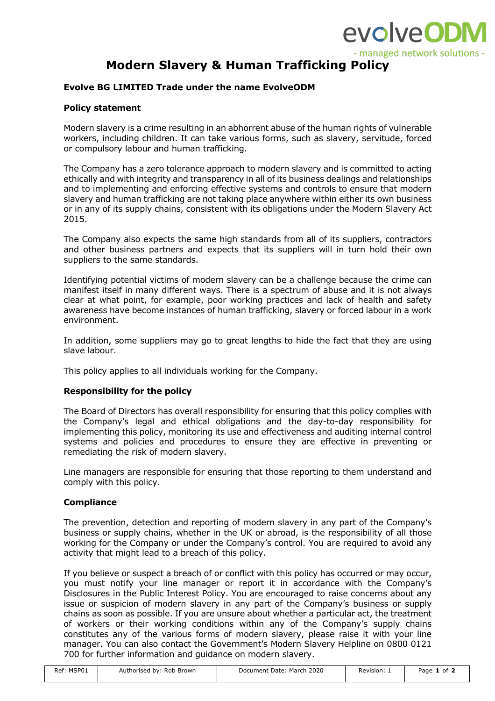

# **Modern Slavery & Human Trafficking Policy**

## **Evolve BG LIMITED Trade under the name EvolveODM**

## **Policy statement**

Modern slavery is a crime resulting in an abhorrent abuse of the human rights of vulnerable workers, including children. It can take various forms, such as slavery, servitude, forced or compulsory labour and human trafficking.

The Company has a zero tolerance approach to modern slavery and is committed to acting ethically and with integrity and transparency in all of its business dealings and relationships and to implementing and enforcing effective systems and controls to ensure that modern slavery and human trafficking are not taking place anywhere within either its own business or in any of its supply chains, consistent with its obligations under the Modern Slavery Act 2015.

The Company also expects the same high standards from all of its suppliers, contractors and other business partners and expects that its suppliers will in turn hold their own suppliers to the same standards.

Identifying potential victims of modern slavery can be a challenge because the crime can manifest itself in many different ways. There is a spectrum of abuse and it is not always clear at what point, for example, poor working practices and lack of health and safety awareness have become instances of human trafficking, slavery or forced labour in a work environment.

In addition, some suppliers may go to great lengths to hide the fact that they are using slave labour.

This policy applies to all individuals working for the Company.

## **Responsibility for the policy**

The Board of Directors has overall responsibility for ensuring that this policy complies with the Company's legal and ethical obligations and the day-to-day responsibility for implementing this policy, monitoring its use and effectiveness and auditing internal control systems and policies and procedures to ensure they are effective in preventing or remediating the risk of modern slavery.

Line managers are responsible for ensuring that those reporting to them understand and comply with this policy.

#### **Compliance**

The prevention, detection and reporting of modern slavery in any part of the Company's business or supply chains, whether in the UK or abroad, is the responsibility of all those working for the Company or under the Company's control. You are required to avoid any activity that might lead to a breach of this policy.

If you believe or suspect a breach of or conflict with this policy has occurred or may occur, you must notify your line manager or report it in accordance with the Company's Disclosures in the Public Interest Policy. You are encouraged to raise concerns about any issue or suspicion of modern slavery in any part of the Company's business or supply chains as soon as possible. If you are unsure about whether a particular act, the treatment of workers or their working conditions within any of the Company's supply chains constitutes any of the various forms of modern slavery, please raise it with your line manager. You can also contact the Government's Modern Slavery Helpline on 0800 0121 700 for further information and guidance on modern slavery.